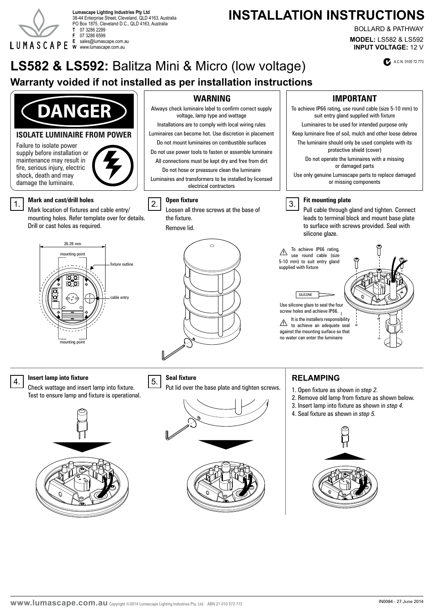

38-44 Enterprise Street, Cleveland, QLD 4163, Australia PO Box 1875, Cleveland D.C., QLD 4163, Australia **T** 07 3286 2299 **F** 07 3286 6599 **E** sales@lumascape.com.au **W** www.lumascape.com.au

# Lumascape Lighting Industries Pty Ltd<br>38.44 Enterprise Street Cleveland OLD.4163 Australia **Lumascape Lighting Industries Pty Ltd**

**MODEL:** LS582 & LS592 **INPUT VOLTAGE:** 12 V BOLLARD & PATHWAY

LS582 & LS592: Balitza Mini & Micro (low voltage) **CALGING OVER ACALO105 72 773** 

# **Warranty voided if not installed as per installation instructions**



#### **ISOLATE LUMINAIRE FROM POWER**

Failure to isolate power supply before installation or maintenance may result in fire, serious injury, electric shock, death and may damage the luminaire.

#### **Mark and cast/drill holes**

Mark location of fixtures and cable entry/ mounting holes. Refer template over for details. Drill or cast holes as required.  $\begin{bmatrix} 1 \end{bmatrix}$  where and case of  $\begin{bmatrix} 3 \end{bmatrix}$ <br>Mark location of fixtures and cable entry/



Always check luminaire label to confirm correct supply voltage, lamp type and wattage Installations are to comply with local wiring rules Luminaires can become hot. Use discretion in placement

Do not mount luminaires on combustible surfaces Do not use power tools to fasten or assemble luminaire All connections must be kept dry and free from dirt

Do not hose or preassure clean the luminaire

Luminaires and transformers to be installed by licensed electrical contractors

#### **Open fixture** 2.

the fixture. Remove lid.



#### **WARNING IMPORTANT**

To achieve IP66 rating, use round cable (size 5-10 mm) to suit entry gland supplied with fixture Luminaires to be used for intended purpose only

Keep luminaire free of soil, mulch and other loose debree

The luminaire should only be used complete with its protective shield (cover)

Do not operate the luminaires with a missing or damaged parts

Use only genuine Lumascape parts to replace damaged or missing components





Pull cable through gland and tighten. Connect leads to terminal block and mount base plate to surface with screws provided. Seal with silicone glaze.

To achieve IP66 rating,  $\triangle$  use round cable (size 5-10 mm) to suit entry gland supplied with fixture

#### SILICONE

Use silicone glaze to seal the four noics and domeve in so. screw holes and achieve IP66

It is the installers responsibility to achieve an adequate seal against the mounting surface so that no water can enter the luminaire



#### **Insert lamp into fixture**

4. First camp mix incursed and insert lamp into fixture. Test to ensure lamp and fixture is operational.



#### **Seal fixture**

Put lid over the base plate and tighten screws. | 1. Open fixture as shown in *step 2.* 





### **RELAMPING**

- 
- 2. Remove old lamp from fixture as shown below.
- 3. Insert lamp into fixture as shown in *step 4.*
- 4. Seal fixture as shown in *step 5.*